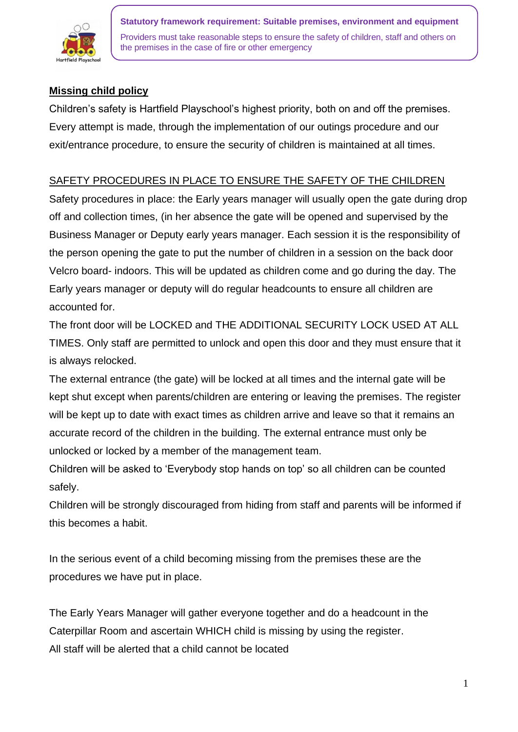

# **Missing child policy**

Children's safety is Hartfield Playschool's highest priority, both on and off the premises. Every attempt is made, through the implementation of our outings procedure and our exit/entrance procedure, to ensure the security of children is maintained at all times.

## SAFETY PROCEDURES IN PLACE TO ENSURE THE SAFETY OF THE CHILDREN

Safety procedures in place: the Early years manager will usually open the gate during drop off and collection times, (in her absence the gate will be opened and supervised by the Business Manager or Deputy early years manager. Each session it is the responsibility of the person opening the gate to put the number of children in a session on the back door Velcro board- indoors. This will be updated as children come and go during the day. The Early years manager or deputy will do regular headcounts to ensure all children are accounted for.

The front door will be LOCKED and THE ADDITIONAL SECURITY LOCK USED AT ALL TIMES. Only staff are permitted to unlock and open this door and they must ensure that it is always relocked.

The external entrance (the gate) will be locked at all times and the internal gate will be kept shut except when parents/children are entering or leaving the premises. The register will be kept up to date with exact times as children arrive and leave so that it remains an accurate record of the children in the building. The external entrance must only be unlocked or locked by a member of the management team.

Children will be asked to 'Everybody stop hands on top' so all children can be counted safely.

Children will be strongly discouraged from hiding from staff and parents will be informed if this becomes a habit.

In the serious event of a child becoming missing from the premises these are the procedures we have put in place.

The Early Years Manager will gather everyone together and do a headcount in the Caterpillar Room and ascertain WHICH child is missing by using the register. All staff will be alerted that a child cannot be located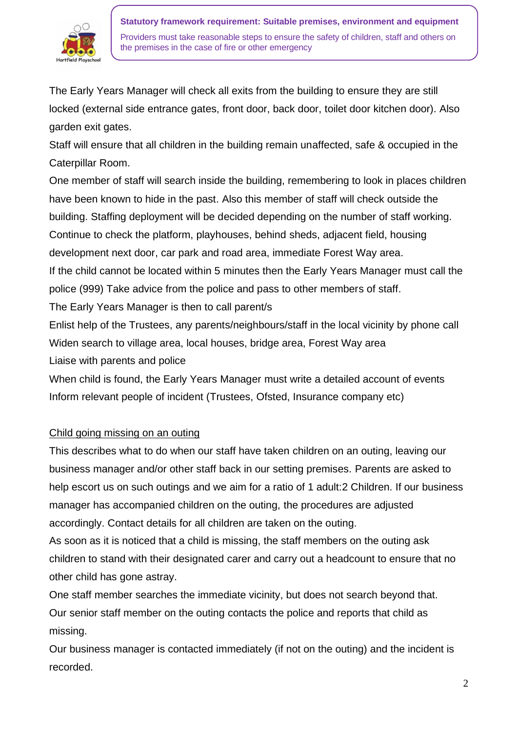

The Early Years Manager will check all exits from the building to ensure they are still locked (external side entrance gates, front door, back door, toilet door kitchen door). Also garden exit gates.

Staff will ensure that all children in the building remain unaffected, safe & occupied in the Caterpillar Room.

One member of staff will search inside the building, remembering to look in places children have been known to hide in the past. Also this member of staff will check outside the building. Staffing deployment will be decided depending on the number of staff working. Continue to check the platform, playhouses, behind sheds, adjacent field, housing development next door, car park and road area, immediate Forest Way area.

If the child cannot be located within 5 minutes then the Early Years Manager must call the police (999) Take advice from the police and pass to other members of staff.

The Early Years Manager is then to call parent/s

Enlist help of the Trustees, any parents/neighbours/staff in the local vicinity by phone call Widen search to village area, local houses, bridge area, Forest Way area Liaise with parents and police

When child is found, the Early Years Manager must write a detailed account of events Inform relevant people of incident (Trustees, Ofsted, Insurance company etc)

## Child going missing on an outing

This describes what to do when our staff have taken children on an outing, leaving our business manager and/or other staff back in our setting premises. Parents are asked to help escort us on such outings and we aim for a ratio of 1 adult: 2 Children. If our business manager has accompanied children on the outing, the procedures are adjusted accordingly. Contact details for all children are taken on the outing.

As soon as it is noticed that a child is missing, the staff members on the outing ask children to stand with their designated carer and carry out a headcount to ensure that no other child has gone astray.

One staff member searches the immediate vicinity, but does not search beyond that. Our senior staff member on the outing contacts the police and reports that child as missing.

Our business manager is contacted immediately (if not on the outing) and the incident is recorded.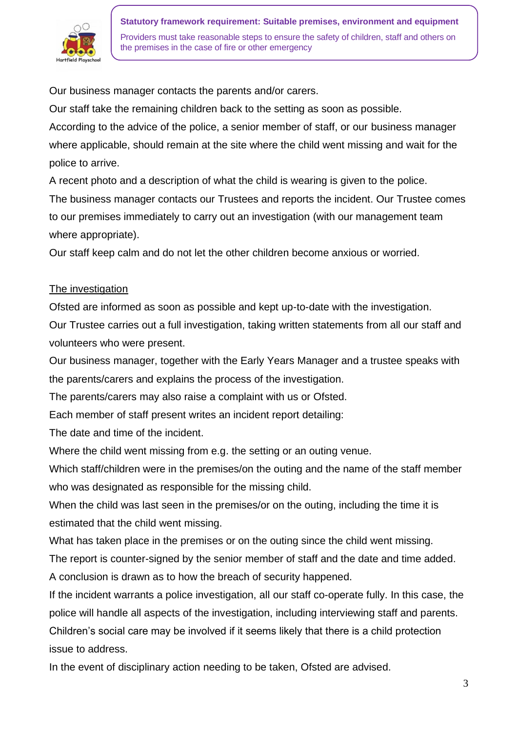

**Statutory framework requirement: Suitable premises, environment and equipment** Providers must take reasonable steps to ensure the safety of children, staff and others on the premises in the case of fire or other emergency

Our business manager contacts the parents and/or carers.

Our staff take the remaining children back to the setting as soon as possible.

According to the advice of the police, a senior member of staff, or our business manager where applicable, should remain at the site where the child went missing and wait for the police to arrive.

A recent photo and a description of what the child is wearing is given to the police.

The business manager contacts our Trustees and reports the incident. Our Trustee comes to our premises immediately to carry out an investigation (with our management team where appropriate).

Our staff keep calm and do not let the other children become anxious or worried.

#### The investigation

Ofsted are informed as soon as possible and kept up-to-date with the investigation.

Our Trustee carries out a full investigation, taking written statements from all our staff and volunteers who were present.

Our business manager, together with the Early Years Manager and a trustee speaks with the parents/carers and explains the process of the investigation.

The parents/carers may also raise a complaint with us or Ofsted.

Each member of staff present writes an incident report detailing:

The date and time of the incident.

Where the child went missing from e.g. the setting or an outing venue.

Which staff/children were in the premises/on the outing and the name of the staff member who was designated as responsible for the missing child.

When the child was last seen in the premises/or on the outing, including the time it is estimated that the child went missing.

What has taken place in the premises or on the outing since the child went missing.

The report is counter-signed by the senior member of staff and the date and time added.

A conclusion is drawn as to how the breach of security happened.

If the incident warrants a police investigation, all our staff co-operate fully. In this case, the police will handle all aspects of the investigation, including interviewing staff and parents.

Children's social care may be involved if it seems likely that there is a child protection issue to address.

In the event of disciplinary action needing to be taken, Ofsted are advised.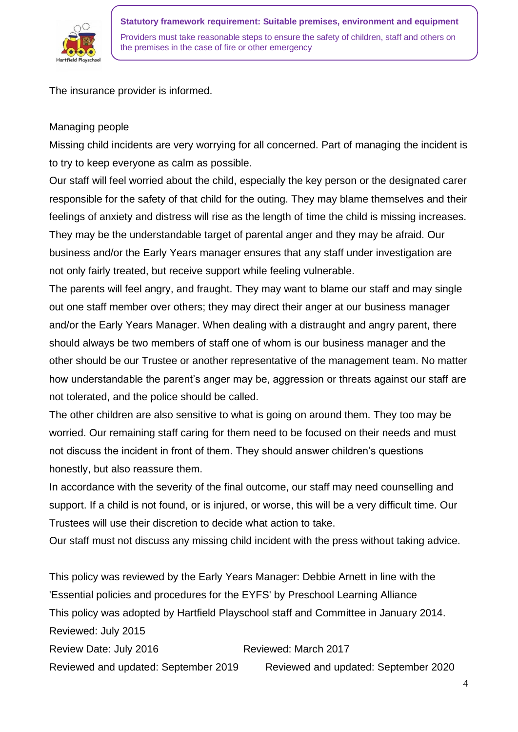

The insurance provider is informed.

## Managing people

Missing child incidents are very worrying for all concerned. Part of managing the incident is to try to keep everyone as calm as possible.

Our staff will feel worried about the child, especially the key person or the designated carer responsible for the safety of that child for the outing. They may blame themselves and their feelings of anxiety and distress will rise as the length of time the child is missing increases. They may be the understandable target of parental anger and they may be afraid. Our business and/or the Early Years manager ensures that any staff under investigation are not only fairly treated, but receive support while feeling vulnerable.

The parents will feel angry, and fraught. They may want to blame our staff and may single out one staff member over others; they may direct their anger at our business manager and/or the Early Years Manager. When dealing with a distraught and angry parent, there should always be two members of staff one of whom is our business manager and the other should be our Trustee or another representative of the management team. No matter how understandable the parent's anger may be, aggression or threats against our staff are not tolerated, and the police should be called.

The other children are also sensitive to what is going on around them. They too may be worried. Our remaining staff caring for them need to be focused on their needs and must not discuss the incident in front of them. They should answer children's questions honestly, but also reassure them.

In accordance with the severity of the final outcome, our staff may need counselling and support. If a child is not found, or is injured, or worse, this will be a very difficult time. Our Trustees will use their discretion to decide what action to take.

Our staff must not discuss any missing child incident with the press without taking advice.

This policy was reviewed by the Early Years Manager: Debbie Arnett in line with the 'Essential policies and procedures for the EYFS' by Preschool Learning Alliance This policy was adopted by Hartfield Playschool staff and Committee in January 2014. Reviewed: July 2015 Review Date: July 2016 Reviewed: March 2017 Reviewed and updated: September 2019 Reviewed and updated: September 2020